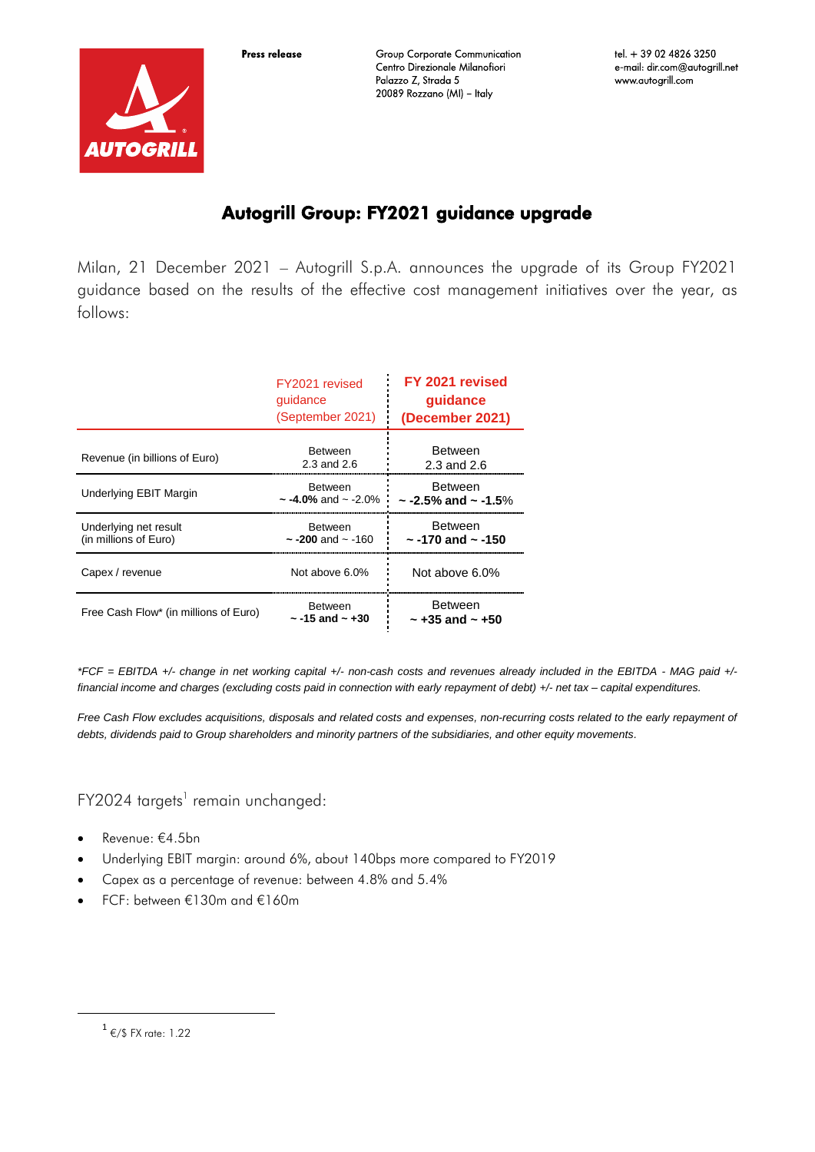



**Group Corporate Communication** Centro Direzionale Milanofiori Palazzo Z, Strada 5 20089 Rozzano (MI) - Italy

# Autogrill Group: FY2021 guidance upgrade

Milan, 21 December 2021 – Autogrill S.p.A. announces the upgrade of its Group FY2021 guidance based on the results of the effective cost management initiatives over the year, as follows:

|                                                | FY2021 revised<br>guidance<br>(September 2021)  | FY 2021 revised<br>guidance<br>(December 2021)  |
|------------------------------------------------|-------------------------------------------------|-------------------------------------------------|
| Revenue (in billions of Euro)                  | <b>Between</b><br>$2.3$ and $2.6$               | <b>Between</b><br>$2.3$ and $2.6$               |
| Underlying EBIT Margin                         | <b>Between</b><br>$\sim$ -4.0% and $\sim$ -2.0% | <b>Between</b><br>$\sim$ -2.5% and $\sim$ -1.5% |
| Underlying net result<br>(in millions of Euro) | <b>Between</b><br>$\sim$ -200 and $\sim$ -160   | <b>Between</b><br>$\sim$ -170 and $\sim$ -150   |
| Capex / revenue                                | Not above 6.0%                                  | Not above 6.0%                                  |
| Free Cash Flow* (in millions of Euro)          | <b>Between</b><br>$\sim$ -15 and $\sim$ +30     | <b>Between</b><br>$\sim$ +35 and $\sim$ +50     |

*\*FCF = EBITDA +/- change in net working capital +/- non-cash costs and revenues already included in the EBITDA - MAG paid +/ financial income and charges (excluding costs paid in connection with early repayment of debt) +/- net tax – capital expenditures.*

*Free Cash Flow excludes acquisitions, disposals and related costs and expenses, non-recurring costs related to the early repayment of debts, dividends paid to Group shareholders and minority partners of the subsidiaries, and other equity movements.*

FY2024 targets<sup>1</sup> remain unchanged:

- Revenue: €4.5bn
- Underlying EBIT margin: around 6%, about 140bps more compared to FY2019
- Capex as a percentage of revenue: between 4.8% and 5.4%
- FCF: between €130m and €160m

**.** 

 $^1$  €/\$ FX rate: 1.22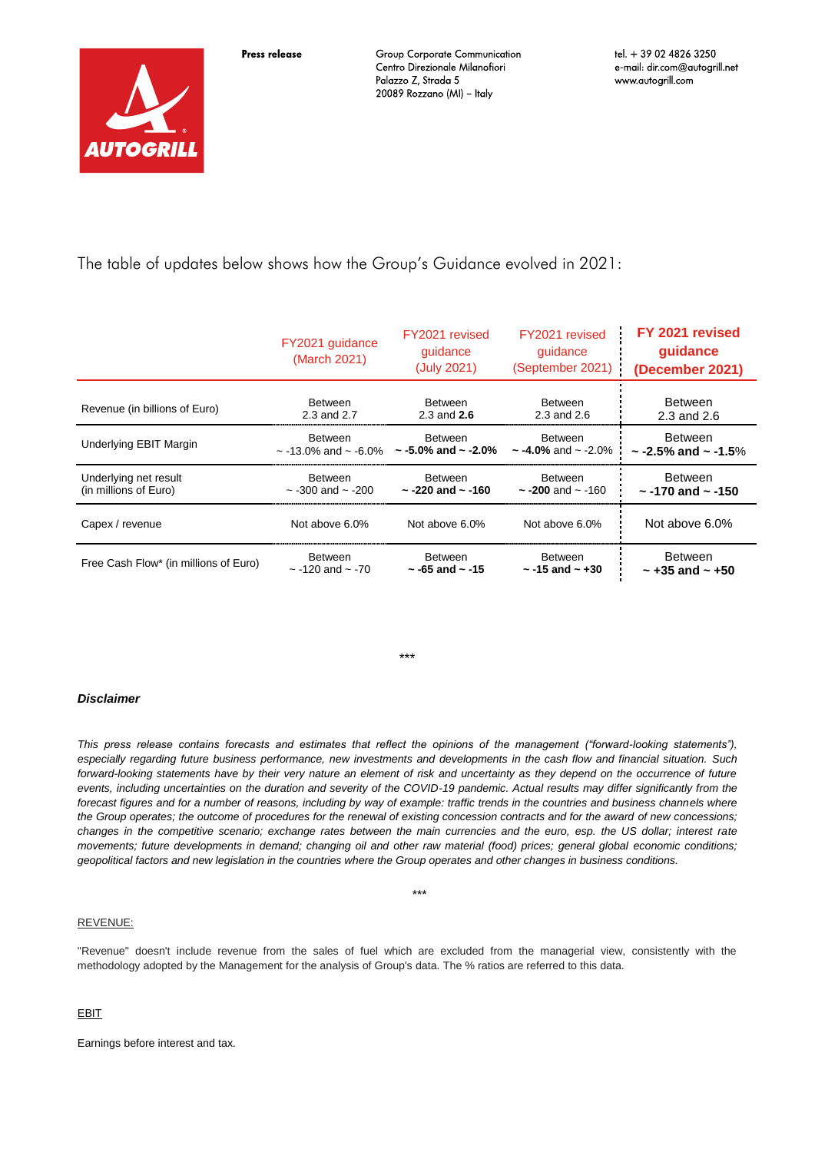Press release

**Group Corporate Communication** Centro Direzionale Milanofiori Palazzo Z, Strada 5 20089 Rozzano (MI) - Italy

The table of updates below shows how the Group's Guidance evolved in 2021:

|                                       | FY2021 guidance<br>(March 2021)                                                | FY2021 revised<br>guidance<br>(July 2021) | FY2021 revised<br>guidance<br>(September 2021) | FY 2021 revised<br>quidance<br>(December 2021) |
|---------------------------------------|--------------------------------------------------------------------------------|-------------------------------------------|------------------------------------------------|------------------------------------------------|
| Revenue (in billions of Euro)         | <b>Between</b>                                                                 | <b>Between</b>                            | <b>Between</b>                                 | <b>Between</b>                                 |
|                                       | 2.3 and 2.7                                                                    | 2.3 and $2.6$                             | 2.3 and $2.6$                                  | 2.3 and 2.6                                    |
| Underlying EBIT Margin                | <b>Between</b><br>$\sim$ -13.0% and $\sim$ -6.0% $\sim$ -5.0% and $\sim$ -2.0% | <b>Between</b>                            | Between<br>$\sim$ -4.0% and $\sim$ -2.0%       | Between<br>$\sim$ -2.5% and $\sim$ -1.5%       |
| Underlying net result                 | <b>Between</b>                                                                 | <b>Between</b>                            | Between                                        | <b>Between</b>                                 |
| (in millions of Euro)                 | $\sim$ -300 and $\sim$ -200                                                    | $\sim$ -220 and $\sim$ -160               | $\sim$ -200 and $\sim$ -160                    | $\sim$ -170 and $\sim$ -150                    |
| Capex / revenue                       | Not above 6.0%                                                                 | Not above 6.0%                            | Not above 6.0%                                 | Not above 6.0%                                 |
| Free Cash Flow* (in millions of Euro) | <b>Between</b>                                                                 | <b>Between</b>                            | <b>Between</b>                                 | Between                                        |
|                                       | $\sim$ -120 and $\sim$ -70                                                     | $\sim$ -65 and $\sim$ -15                 | $\sim$ -15 and $\sim$ +30                      | $\sim$ +35 and $\sim$ +50                      |

\*\*\*

### *Disclaimer*

*This press release contains forecasts and estimates that reflect the opinions of the management ("forward-looking statements"), especially regarding future business performance, new investments and developments in the cash flow and financial situation. Such forward-looking statements have by their very nature an element of risk and uncertainty as they depend on the occurrence of future*  events, including uncertainties on the duration and severity of the COVID-19 pandemic. Actual results may differ significantly from the forecast figures and for a number of reasons, including by way of example: traffic trends in the countries and business channels where *the Group operates; the outcome of procedures for the renewal of existing concession contracts and for the award of new concessions; changes in the competitive scenario; exchange rates between the main currencies and the euro, esp. the US dollar; interest rate movements; future developments in demand; changing oil and other raw material (food) prices; general global economic conditions; geopolitical factors and new legislation in the countries where the Group operates and other changes in business conditions.*

#### REVENUE:

"Revenue" doesn't include revenue from the sales of fuel which are excluded from the managerial view, consistently with the methodology adopted by the Management for the analysis of Group's data. The % ratios are referred to this data.

\*\*\*

## EBIT

Earnings before interest and tax.